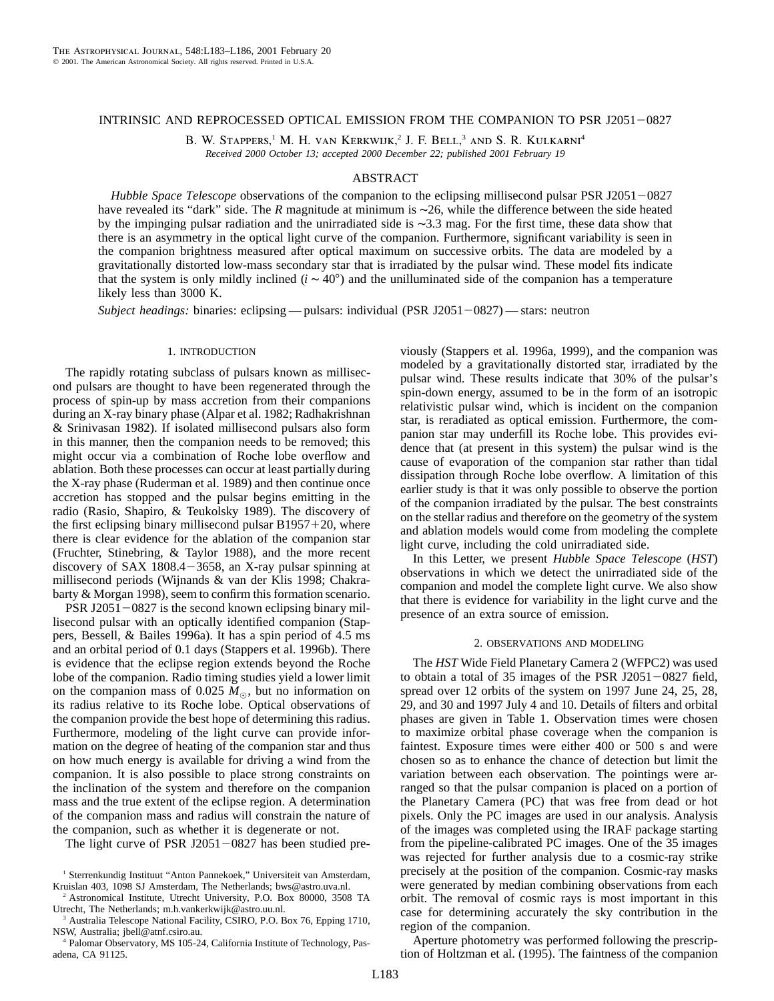## INTRINSIC AND REPROCESSED OPTICAL EMISSION FROM THE COMPANION TO PSR J2051-0827

B. W. Stappers,<sup>1</sup> M. H. van Kerkwijk,<sup>2</sup> J. F. Bell,<sup>3</sup> and S. R. Kulkarni<sup>4</sup> *Received 2000 October 13; accepted 2000 December 22; published 2001 February 19*

# ABSTRACT

*Hubble Space Telescope* observations of the companion to the eclipsing millisecond pulsar PSR J2051-0827 have revealed its "dark" side. The *R* magnitude at minimum is ∼26, while the difference between the side heated by the impinging pulsar radiation and the unirradiated side is ∼3.3 mag. For the first time, these data show that there is an asymmetry in the optical light curve of the companion. Furthermore, significant variability is seen in the companion brightness measured after optical maximum on successive orbits. The data are modeled by a gravitationally distorted low-mass secondary star that is irradiated by the pulsar wind. These model fits indicate that the system is only mildly inclined  $(i \sim 40^{\circ})$  and the unilluminated side of the companion has a temperature likely less than 3000 K.

*Subject headings:* binaries: eclipsing — pulsars: individual (PSR J2051-0827) — stars: neutron

### 1. INTRODUCTION

The rapidly rotating subclass of pulsars known as millisecond pulsars are thought to have been regenerated through the process of spin-up by mass accretion from their companions during an X-ray binary phase (Alpar et al. 1982; Radhakrishnan & Srinivasan 1982). If isolated millisecond pulsars also form in this manner, then the companion needs to be removed; this might occur via a combination of Roche lobe overflow and ablation. Both these processes can occur at least partially during the X-ray phase (Ruderman et al. 1989) and then continue once accretion has stopped and the pulsar begins emitting in the radio (Rasio, Shapiro, & Teukolsky 1989). The discovery of the first eclipsing binary millisecond pulsar  $B1957+20$ , where there is clear evidence for the ablation of the companion star (Fruchter, Stinebring, & Taylor 1988), and the more recent discovery of SAX 1808.4 $-3658$ , an X-ray pulsar spinning at millisecond periods (Wijnands & van der Klis 1998; Chakrabarty & Morgan 1998), seem to confirm this formation scenario.

PSR J2051 $-0827$  is the second known eclipsing binary millisecond pulsar with an optically identified companion (Stappers, Bessell, & Bailes 1996a). It has a spin period of 4.5 ms and an orbital period of 0.1 days (Stappers et al. 1996b). There is evidence that the eclipse region extends beyond the Roche lobe of the companion. Radio timing studies yield a lower limit on the companion mass of 0.025  $M_{\odot}$ , but no information on its radius relative to its Roche lobe. Optical observations of the companion provide the best hope of determining this radius. Furthermore, modeling of the light curve can provide information on the degree of heating of the companion star and thus on how much energy is available for driving a wind from the companion. It is also possible to place strong constraints on the inclination of the system and therefore on the companion mass and the true extent of the eclipse region. A determination of the companion mass and radius will constrain the nature of the companion, such as whether it is degenerate or not.

The light curve of PSR J2051 $-0827$  has been studied pre-

<sup>3</sup> Australia Telescope National Facility, CSIRO, P.O. Box 76, Epping 1710, NSW, Australia; jbell@atnf.csiro.au.

<sup>4</sup> Palomar Observatory, MS 105-24, California Institute of Technology, Pasadena, CA 91125.

viously (Stappers et al. 1996a, 1999), and the companion was modeled by a gravitationally distorted star, irradiated by the pulsar wind. These results indicate that 30% of the pulsar's spin-down energy, assumed to be in the form of an isotropic relativistic pulsar wind, which is incident on the companion star, is reradiated as optical emission. Furthermore, the companion star may underfill its Roche lobe. This provides evidence that (at present in this system) the pulsar wind is the cause of evaporation of the companion star rather than tidal dissipation through Roche lobe overflow. A limitation of this earlier study is that it was only possible to observe the portion of the companion irradiated by the pulsar. The best constraints on the stellar radius and therefore on the geometry of the system and ablation models would come from modeling the complete light curve, including the cold unirradiated side.

In this Letter, we present *Hubble Space Telescope* (*HST*) observations in which we detect the unirradiated side of the companion and model the complete light curve. We also show that there is evidence for variability in the light curve and the presence of an extra source of emission.

#### 2. OBSERVATIONS AND MODELING

The *HST* Wide Field Planetary Camera 2 (WFPC2) was used to obtain a total of 35 images of the PSR J2051 $-0827$  field, spread over 12 orbits of the system on 1997 June 24, 25, 28, 29, and 30 and 1997 July 4 and 10. Details of filters and orbital phases are given in Table 1. Observation times were chosen to maximize orbital phase coverage when the companion is faintest. Exposure times were either 400 or 500 s and were chosen so as to enhance the chance of detection but limit the variation between each observation. The pointings were arranged so that the pulsar companion is placed on a portion of the Planetary Camera (PC) that was free from dead or hot pixels. Only the PC images are used in our analysis. Analysis of the images was completed using the IRAF package starting from the pipeline-calibrated PC images. One of the 35 images was rejected for further analysis due to a cosmic-ray strike precisely at the position of the companion. Cosmic-ray masks were generated by median combining observations from each orbit. The removal of cosmic rays is most important in this case for determining accurately the sky contribution in the region of the companion.

Aperture photometry was performed following the prescription of Holtzman et al. (1995). The faintness of the companion

<sup>&</sup>lt;sup>1</sup> Sterrenkundig Instituut "Anton Pannekoek," Universiteit van Amsterdam, Kruislan 403, 1098 SJ Amsterdam, The Netherlands; bws@astro.uva.nl.

<sup>2</sup> Astronomical Institute, Utrecht University, P.O. Box 80000, 3508 TA Utrecht, The Netherlands; m.h.vankerkwijk@astro.uu.nl.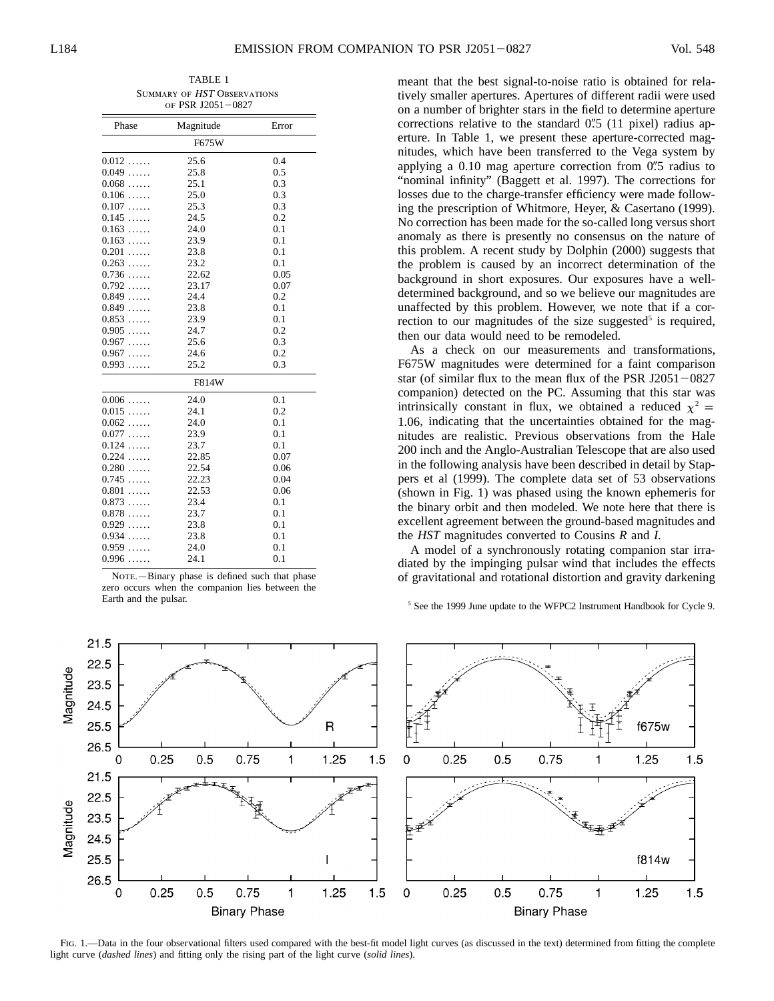TABLE 1 Summary of HST Observations of PSR J2051-0827

| Phase              | Magnitude | Error |
|--------------------|-----------|-------|
|                    | F675W     |       |
| $0.012$            | 25.6      | 0.4   |
| $0.049\dots$       | 25.8      | 0.5   |
| 0.068<br>1.1.1.1   | 25.1      | 0.3   |
| 0.106              | 25.0      | 0.3   |
| 0.107              | 25.3      | 0.3   |
| 0.145              | 24.5      | 0.2   |
| 0.163              | 24.0      | 0.1   |
| 0.163              | 23.9      | 0.1   |
| 0.201<br>.         | 23.8      | 0.1   |
| 0.263<br>1.1.1.1.1 | 23.2      | 0.1   |
| 0.736<br>1.1.1.1   | 22.62     | 0.05  |
| 0.792              | 23.17     | 0.07  |
| 0.849              | 24.4      | 0.2   |
| $0.849\dots$       | 23.8      | 0.1   |
| 0.853              | 23.9      | 0.1   |
| 0.905              | 24.7      | 0.2   |
| 0.967              | 25.6      | 0.3   |
| 0.967              | 24.6      | 0.2   |
| 0.993              | 25.2      | 0.3   |
|                    | F814W     |       |
| 0.006              | 24.0      | 0.1   |
| 0.015              | 24.1      | 0.2   |
| $0.062\ldots$      | 24.0      | 0.1   |
| 0.077              | 23.9      | 0.1   |
| 0.124              | 23.7      | 0.1   |
| 0.224<br>$\ldots$  | 22.85     | 0.07  |
| 0.280<br>$\ldots$  | 22.54     | 0.06  |
| 0.745<br>$\ldots$  | 22.23     | 0.04  |
| 0.801              | 22.53     | 0.06  |
| 0.873              | 23.4      | 0.1   |
| 0.878              | 23.7      | 0.1   |
| 0.929              | 23.8      | 0.1   |
| 0.934<br>$\ldots$  | 23.8      | 0.1   |
| 0.959<br>.         | 24.0      | 0.1   |
| 0.996              | 24.1      | 0.1   |

NOTE.-Binary phase is defined such that phase zero occurs when the companion lies between the Earth and the pulsar.

meant that the best signal-to-noise ratio is obtained for relatively smaller apertures. Apertures of different radii were used on a number of brighter stars in the field to determine aperture corrections relative to the standard  $0\rlap.{''}5$  (11 pixel) radius aperture. In Table 1, we present these aperture-corrected magnitudes, which have been transferred to the Vega system by applying a  $0.10$  mag aperture correction from  $0\rlap{.}^{\prime\prime}5$  radius to "nominal infinity" (Baggett et al. 1997). The corrections for losses due to the charge-transfer efficiency were made following the prescription of Whitmore, Heyer, & Casertano (1999). No correction has been made for the so-called long versus short anomaly as there is presently no consensus on the nature of this problem. A recent study by Dolphin (2000) suggests that the problem is caused by an incorrect determination of the background in short exposures. Our exposures have a welldetermined background, and so we believe our magnitudes are unaffected by this problem. However, we note that if a correction to our magnitudes of the size suggested<sup>5</sup> is required, then our data would need to be remodeled.

As a check on our measurements and transformations, F675W magnitudes were determined for a faint comparison star (of similar flux to the mean flux of the PSR J2051 $-0827$ companion) detected on the PC. Assuming that this star was intrinsically constant in flux, we obtained a reduced  $\chi^2$  = 1.06, indicating that the uncertainties obtained for the magnitudes are realistic. Previous observations from the Hale 200 inch and the Anglo-Australian Telescope that are also used in the following analysis have been described in detail by Stappers et al (1999). The complete data set of 53 observations (shown in Fig. 1) was phased using the known ephemeris for the binary orbit and then modeled. We note here that there is excellent agreement between the ground-based magnitudes and the *HST* magnitudes converted to Cousins *R* and *I*.

A model of a synchronously rotating companion star irradiated by the impinging pulsar wind that includes the effects of gravitational and rotational distortion and gravity darkening

<sup>5</sup> See the 1999 June update to the WFPC2 Instrument Handbook for Cycle 9.



FIG. 1.—Data in the four observational filters used compared with the best-fit model light curves (as discussed in the text) determined from fitting the complete light curve (*dashed lines*) and fitting only the rising part of the light curve (*solid lines*).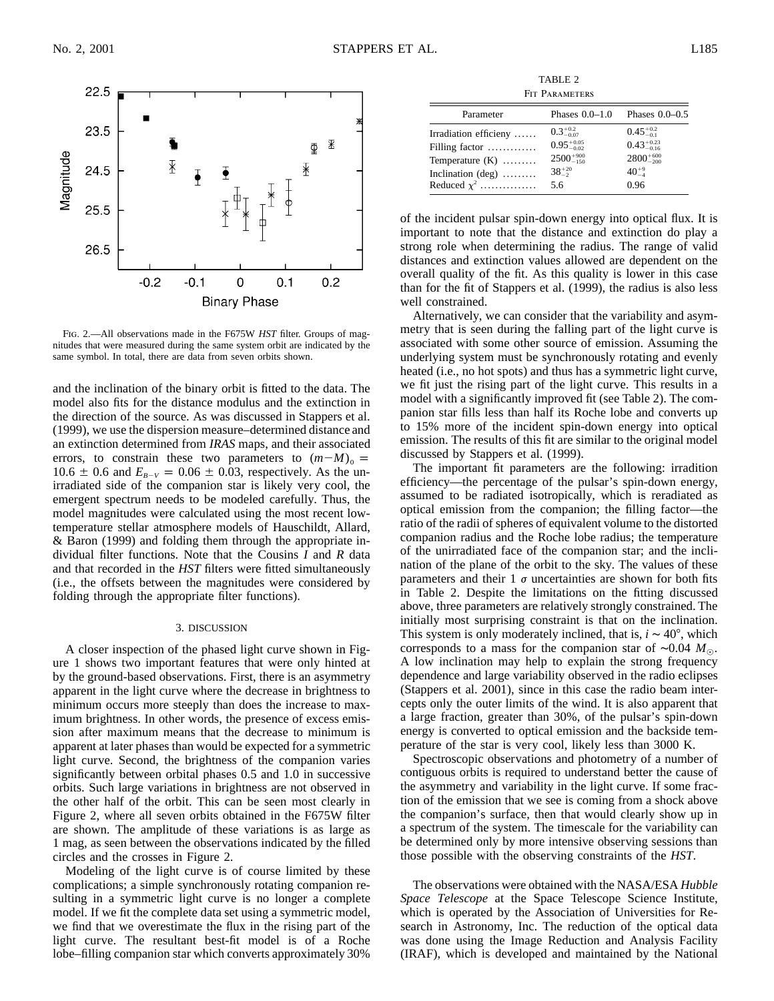

Fig. 2.—All observations made in the F675W *HST* filter. Groups of magnitudes that were measured during the same system orbit are indicated by the same symbol. In total, there are data from seven orbits shown.

and the inclination of the binary orbit is fitted to the data. The model also fits for the distance modulus and the extinction in the direction of the source. As was discussed in Stappers et al. (1999), we use the dispersion measure–determined distance and an extinction determined from *IRAS* maps, and their associated errors, to constrain these two parameters to  $(m-M)_{0} =$ 10.6  $\pm$  0.6 and  $E_{B-V} = 0.06 \pm 0.03$ , respectively. As the unirradiated side of the companion star is likely very cool, the emergent spectrum needs to be modeled carefully. Thus, the model magnitudes were calculated using the most recent lowtemperature stellar atmosphere models of Hauschildt, Allard, & Baron (1999) and folding them through the appropriate individual filter functions. Note that the Cousins *I* and *R* data and that recorded in the *HST* filters were fitted simultaneously (i.e., the offsets between the magnitudes were considered by folding through the appropriate filter functions).

### 3. DISCUSSION

A closer inspection of the phased light curve shown in Figure 1 shows two important features that were only hinted at by the ground-based observations. First, there is an asymmetry apparent in the light curve where the decrease in brightness to minimum occurs more steeply than does the increase to maximum brightness. In other words, the presence of excess emission after maximum means that the decrease to minimum is apparent at later phases than would be expected for a symmetric light curve. Second, the brightness of the companion varies significantly between orbital phases 0.5 and 1.0 in successive orbits. Such large variations in brightness are not observed in the other half of the orbit. This can be seen most clearly in Figure 2, where all seven orbits obtained in the F675W filter are shown. The amplitude of these variations is as large as 1 mag, as seen between the observations indicated by the filled circles and the crosses in Figure 2.

Modeling of the light curve is of course limited by these complications; a simple synchronously rotating companion resulting in a symmetric light curve is no longer a complete model. If we fit the complete data set using a symmetric model, we find that we overestimate the flux in the rising part of the light curve. The resultant best-fit model is of a Roche lobe–filling companion star which converts approximately 30%

TABLE 2 FIT PARAMETERS

| Phases $0.0-1.0$       | Phases $0.0-0.5$       |
|------------------------|------------------------|
| $0.3^{+0.2}_{-0.07}$   | $0.45^{+0.2}_{-0.1}$   |
| $0.95^{+0.05}_{-0.02}$ | $0.43^{+0.23}_{-0.16}$ |
| $2500^{+900}_{-150}$   | $2800^{+600}_{-200}$   |
| $38^{+20}_{-2}$        | $40^{+9}_{-4}$         |
| 5.6                    | 0.96                   |
|                        |                        |

of the incident pulsar spin-down energy into optical flux. It is important to note that the distance and extinction do play a strong role when determining the radius. The range of valid distances and extinction values allowed are dependent on the overall quality of the fit. As this quality is lower in this case than for the fit of Stappers et al. (1999), the radius is also less well constrained.

Alternatively, we can consider that the variability and asymmetry that is seen during the falling part of the light curve is associated with some other source of emission. Assuming the underlying system must be synchronously rotating and evenly heated (i.e., no hot spots) and thus has a symmetric light curve, we fit just the rising part of the light curve. This results in a model with a significantly improved fit (see Table 2). The companion star fills less than half its Roche lobe and converts up to 15% more of the incident spin-down energy into optical emission. The results of this fit are similar to the original model discussed by Stappers et al. (1999).

The important fit parameters are the following: irradition efficiency—the percentage of the pulsar's spin-down energy, assumed to be radiated isotropically, which is reradiated as optical emission from the companion; the filling factor—the ratio of the radii of spheres of equivalent volume to the distorted companion radius and the Roche lobe radius; the temperature of the unirradiated face of the companion star; and the inclination of the plane of the orbit to the sky. The values of these parameters and their 1  $\sigma$  uncertainties are shown for both fits in Table 2. Despite the limitations on the fitting discussed above, three parameters are relatively strongly constrained. The initially most surprising constraint is that on the inclination. This system is only moderately inclined, that is,  $i \sim 40^{\circ}$ , which corresponds to a mass for the companion star of ~0.04  $M_{\odot}$ . A low inclination may help to explain the strong frequency dependence and large variability observed in the radio eclipses (Stappers et al. 2001), since in this case the radio beam intercepts only the outer limits of the wind. It is also apparent that a large fraction, greater than 30%, of the pulsar's spin-down energy is converted to optical emission and the backside temperature of the star is very cool, likely less than 3000 K.

Spectroscopic observations and photometry of a number of contiguous orbits is required to understand better the cause of the asymmetry and variability in the light curve. If some fraction of the emission that we see is coming from a shock above the companion's surface, then that would clearly show up in a spectrum of the system. The timescale for the variability can be determined only by more intensive observing sessions than those possible with the observing constraints of the *HST*.

The observations were obtained with the NASA/ESA *Hubble Space Telescope* at the Space Telescope Science Institute, which is operated by the Association of Universities for Research in Astronomy, Inc. The reduction of the optical data was done using the Image Reduction and Analysis Facility (IRAF), which is developed and maintained by the National